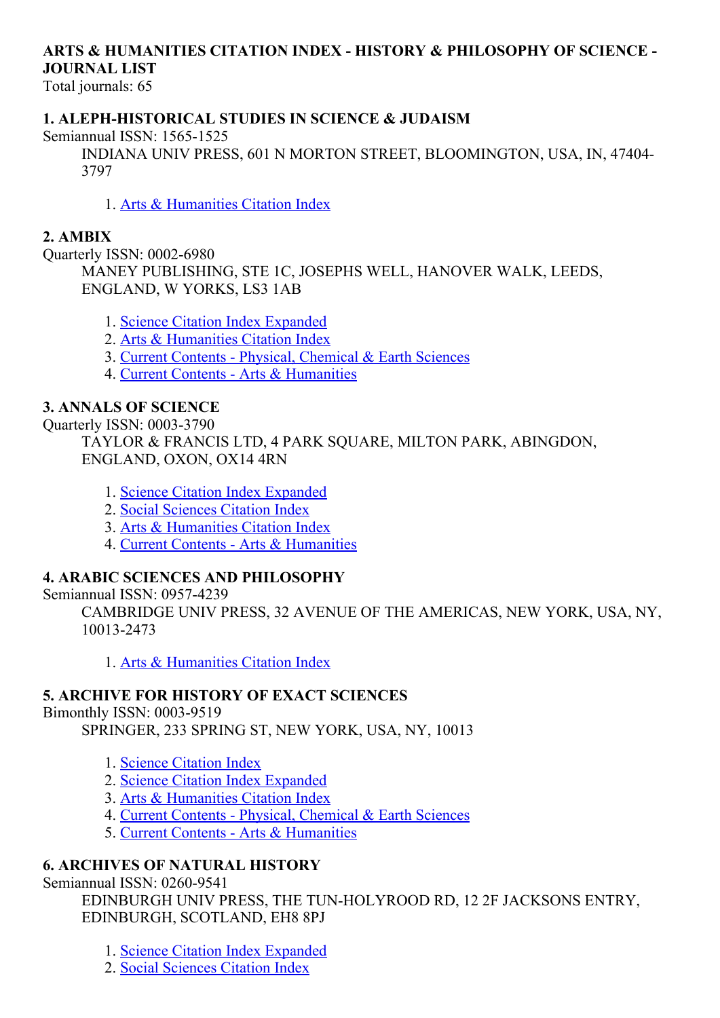# ARTS & HUMANITIES CITATION INDEX - HISTORY & PHILOSOPHY OF SCIENCE -JOURNAL LIST

Total journals: 65

#### 1. ALEPH-HISTORICAL STUDIES IN SCIENCE & JUDAISM

Semiannual ISSN: 1565-1525

INDIANA UNIV PRESS, 601 N MORTON STREET, BLOOMINGTON, USA, IN, 47404 3797

1. Arts & [Humanities](http://thomsonreuters.com/arts-humanities-citation-index) Citation Index

#### 2. AMBIX

Ouarterly ISSN: 0002-6980

MANEY PUBLISHING, STE 1C, JOSEPHS WELL, HANOVER WALK, LEEDS, ENGLAND, W YORKS, LS3 1AB

1. Science Citation Index [Expanded](http://thomsonreuters.com/science-citation-index-expanded)

2. Arts & [Humanities](http://thomsonreuters.com/arts-humanities-citation-index) Citation Index

3. Current Contents Physical, [Chemical](http://thomsonreuters.com/current-contents-connect) & Earth Sciences

4. Current Contents Arts & [Humanities](http://thomsonreuters.com/current-contents-connect)

#### 3. ANNALS OF SCIENCE

**Ouarterly ISSN: 0003-3790** 

TAYLOR & FRANCIS LTD, 4 PARK SQUARE, MILTON PARK, ABINGDON, ENGLAND, OXON, OX14 4RN

- 1. Science Citation Index [Expanded](http://thomsonreuters.com/science-citation-index-expanded)
- 2. Social [Sciences](http://thomsonreuters.com/social-sciences-citation-index) Citation Index
- 3. Arts & [Humanities](http://thomsonreuters.com/arts-humanities-citation-index) Citation Index
- 4. Current Contents Arts & [Humanities](http://thomsonreuters.com/current-contents-connect)

#### 4. ARABIC SCIENCES AND PHILOSOPHY

#### Semiannual ISSN: 0957-4239

CAMBRIDGE UNIV PRESS, 32 AVENUE OF THE AMERICAS, NEW YORK, USA, NY, 100132473

1. Arts & [Humanities](http://thomsonreuters.com/arts-humanities-citation-index) Citation Index

#### 5. ARCHIVE FOR HISTORY OF EXACT SCIENCES

Bimonthly ISSN: 0003-9519

SPRINGER, 233 SPRING ST, NEW YORK, USA, NY, 10013

- 1. Science [Citation](http://thomsonreuters.com/science-citation-index-expanded) Index
- 2. Science Citation Index [Expanded](http://thomsonreuters.com/science-citation-index-expanded)
- 3. Arts & [Humanities](http://thomsonreuters.com/arts-humanities-citation-index) Citation Index
- 4. Current Contents Physical, [Chemical](http://thomsonreuters.com/current-contents-connect) & Earth Sciences
- 5. Current Contents Arts & [Humanities](http://thomsonreuters.com/current-contents-connect)

### 6. ARCHIVES OF NATURAL HISTORY

Semiannual ISSN: 0260-9541

EDINBURGH UNIV PRESS, THE TUN-HOLYROOD RD, 12 2F JACKSONS ENTRY, EDINBURGH, SCOTLAND, EH8 8PJ

1. Science Citation Index [Expanded](http://thomsonreuters.com/science-citation-index-expanded)

2. Social [Sciences](http://thomsonreuters.com/social-sciences-citation-index) Citation Index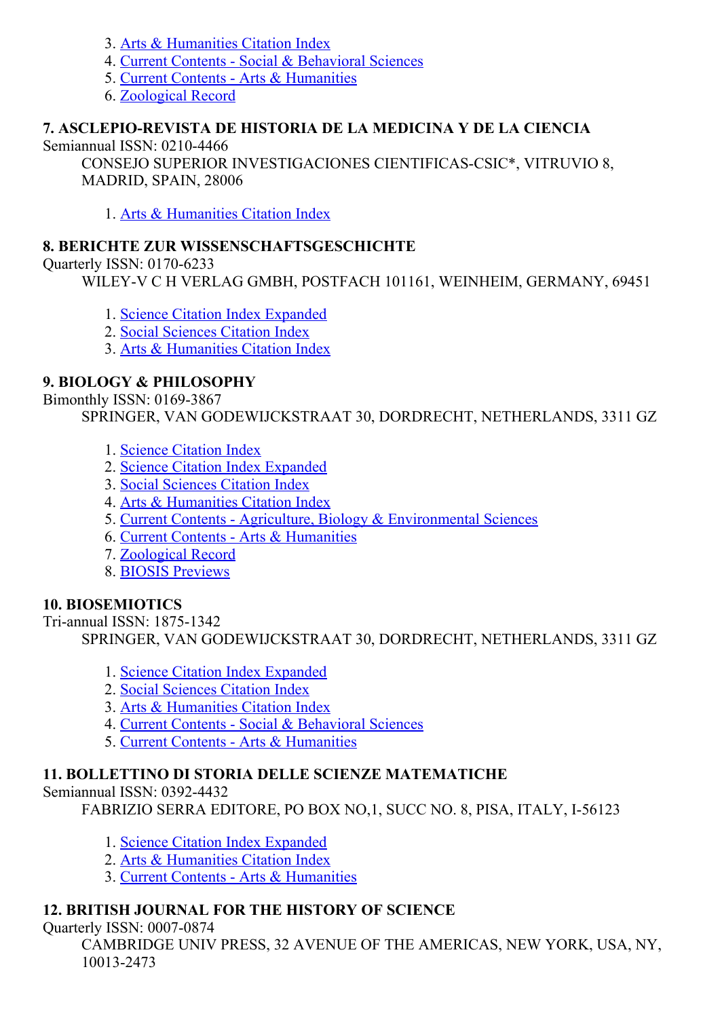- 3. Arts & [Humanities](http://thomsonreuters.com/arts-humanities-citation-index) Citation Index
- 4. Current Contents Social & [Behavioral](http://thomsonreuters.com/current-contents-connect/) Sciences
- 5. Current Contents Arts & [Humanities](http://thomsonreuters.com/current-contents-connect)
- 6. [Zoological](http://thomsonreuters.com/zoological-record) Record

## 7. ASCLEPIO-REVISTA DE HISTORIA DE LA MEDICINA Y DE LA CIENCIA

Semiannual ISSN:  $0210-4466$ 

CONSEJO SUPERIOR INVESTIGACIONES CIENTIFICAS-CSIC\*, VITRUVIO 8, MADRID, SPAIN, 28006

1. Arts & [Humanities](http://thomsonreuters.com/arts-humanities-citation-index) Citation Index

# 8. BERICHTE ZUR WISSENSCHAFTSGESCHICHTE

Ouarterly ISSN: 0170-6233

WILEY-V C H VERLAG GMBH, POSTFACH 101161, WEINHEIM, GERMANY, 69451

- 1. Science Citation Index [Expanded](http://thomsonreuters.com/science-citation-index-expanded)
- 2. Social [Sciences](http://thomsonreuters.com/social-sciences-citation-index) Citation Index
- 3. Arts & [Humanities](http://thomsonreuters.com/arts-humanities-citation-index) Citation Index

# 9. BIOLOGY & PHILOSOPHY

Bimonthly ISSN: 0169-3867

SPRINGER, VAN GODEWIJCKSTRAAT 30, DORDRECHT, NETHERLANDS, 3311 GZ

- 1. Science [Citation](http://thomsonreuters.com/science-citation-index-expanded) Index
- 2. Science Citation Index [Expanded](http://thomsonreuters.com/science-citation-index-expanded)
- 3. Social [Sciences](http://thomsonreuters.com/social-sciences-citation-index) Citation Index
- 4. Arts & [Humanities](http://thomsonreuters.com/arts-humanities-citation-index) Citation Index
- 5. Current Contents Agriculture, Biology & [Environmental](http://thomsonreuters.com/current-contents-connect/) Sciences
- 6. Current Contents Arts & [Humanities](http://thomsonreuters.com/current-contents-connect)
- 7. [Zoological](http://thomsonreuters.com/zoological-record) Record
- 8. BIOSIS [Previews](http://thomsonreuters.com/biosis-previews)

# 10. BIOSEMIOTICS

Tri-annual ISSN: 1875-1342 SPRINGER, VAN GODEWIJCKSTRAAT 30, DORDRECHT, NETHERLANDS, 3311 GZ

- 1. Science Citation Index [Expanded](http://thomsonreuters.com/science-citation-index-expanded)
- 2. Social [Sciences](http://thomsonreuters.com/social-sciences-citation-index) Citation Index
- 3. Arts & [Humanities](http://thomsonreuters.com/arts-humanities-citation-index) Citation Index
- 4. Current Contents Social & [Behavioral](http://thomsonreuters.com/current-contents-connect/) Sciences
- 5. Current Contents Arts & [Humanities](http://thomsonreuters.com/current-contents-connect)

# 11. BOLLETTINO DI STORIA DELLE SCIENZE MATEMATICHE

Semiannual ISSN: 0392-4432

FABRIZIO SERRA EDITORE, PO BOX NO, 1, SUCC NO. 8, PISA, ITALY, I-56123

- 1. Science Citation Index [Expanded](http://thomsonreuters.com/science-citation-index-expanded)
- 2. Arts & [Humanities](http://thomsonreuters.com/arts-humanities-citation-index) Citation Index
- 3. Current Contents Arts & [Humanities](http://thomsonreuters.com/current-contents-connect)

# 12. BRITISH JOURNAL FOR THE HISTORY OF SCIENCE

Quarterly ISSN: 0007-0874

CAMBRIDGE UNIV PRESS, 32 AVENUE OF THE AMERICAS, NEW YORK, USA, NY, 100132473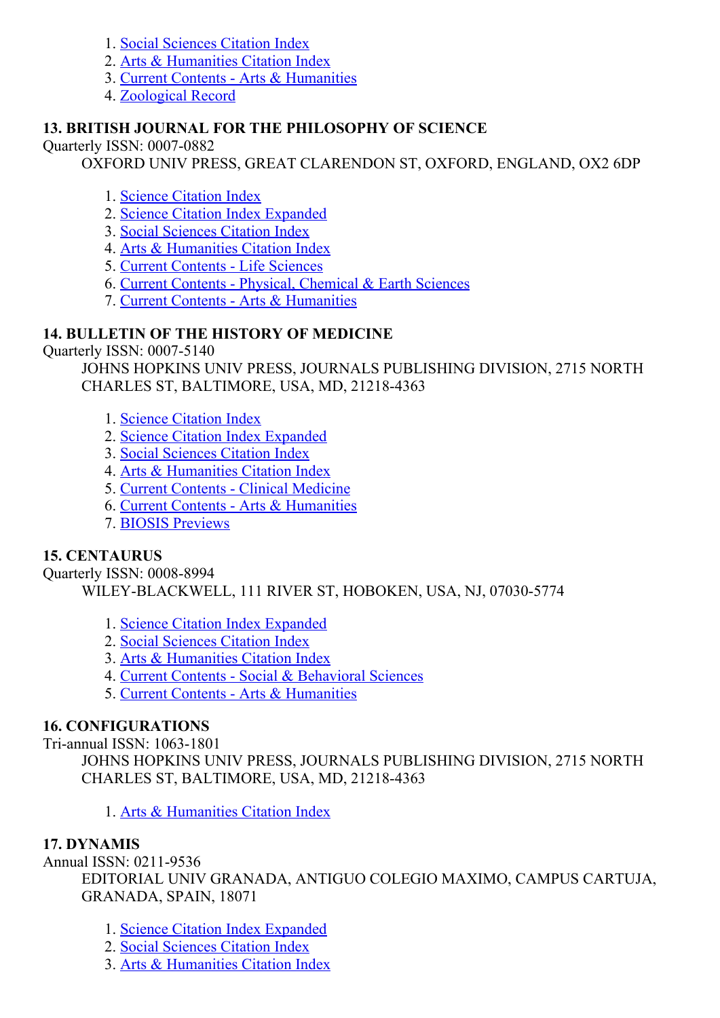- 1. Social [Sciences](http://thomsonreuters.com/social-sciences-citation-index) Citation Index
- 2. Arts & [Humanities](http://thomsonreuters.com/arts-humanities-citation-index) Citation Index
- 3. Current Contents Arts & [Humanities](http://thomsonreuters.com/current-contents-connect)
- 4. [Zoological](http://thomsonreuters.com/zoological-record) Record

### 13. BRITISH JOURNAL FOR THE PHILOSOPHY OF SCIENCE

Quarterly ISSN: 0007-0882

OXFORD UNIV PRESS, GREAT CLARENDON ST, OXFORD, ENGLAND, OX2 6DP

- 1. Science [Citation](http://thomsonreuters.com/science-citation-index-expanded) Index
- 2. Science Citation Index [Expanded](http://thomsonreuters.com/science-citation-index-expanded)
- 3. Social [Sciences](http://thomsonreuters.com/social-sciences-citation-index) Citation Index
- 4. Arts & [Humanities](http://thomsonreuters.com/arts-humanities-citation-index) Citation Index
- 5. Current [Contents](http://thomsonreuters.com/current-contents-connect) Life Sciences
- 6. Current Contents Physical, [Chemical](http://thomsonreuters.com/current-contents-connect) & Earth Sciences
- 7. Current Contents Arts & [Humanities](http://thomsonreuters.com/current-contents-connect)

### 14. BULLETIN OF THE HISTORY OF MEDICINE

Quarterly ISSN: 0007-5140

JOHNS HOPKINS UNIV PRESS, JOURNALS PUBLISHING DIVISION, 2715 NORTH CHARLES ST, BALTIMORE, USA, MD, 21218-4363

- 1. Science [Citation](http://thomsonreuters.com/science-citation-index-expanded) Index
- 2. Science Citation Index [Expanded](http://thomsonreuters.com/science-citation-index-expanded)
- 3. Social [Sciences](http://thomsonreuters.com/social-sciences-citation-index) Citation Index
- 4. Arts & [Humanities](http://thomsonreuters.com/arts-humanities-citation-index) Citation Index
- 5. Current Contents Clinical [Medicine](http://thomsonreuters.com/current-contents-connect)
- 6. Current Contents Arts & [Humanities](http://thomsonreuters.com/current-contents-connect)
- 7. BIOSIS [Previews](http://thomsonreuters.com/biosis-previews)

#### 15. CENTAURUS

Quarterly ISSN: 0008-8994 WILEY-BLACKWELL, 111 RIVER ST, HOBOKEN, USA, NJ, 07030-5774

- 1. Science Citation Index [Expanded](http://thomsonreuters.com/science-citation-index-expanded)
- 2. Social [Sciences](http://thomsonreuters.com/social-sciences-citation-index) Citation Index
- 3. Arts & [Humanities](http://thomsonreuters.com/arts-humanities-citation-index) Citation Index
- 4. Current Contents Social & [Behavioral](http://thomsonreuters.com/current-contents-connect/) Sciences
- 5. Current Contents Arts & [Humanities](http://thomsonreuters.com/current-contents-connect)

#### 16. CONFIGURATIONS

Tri-annual ISSN: 1063-1801

JOHNS HOPKINS UNIV PRESS, JOURNALS PUBLISHING DIVISION, 2715 NORTH CHARLES ST, BALTIMORE, USA, MD, 21218-4363

1. Arts & [Humanities](http://thomsonreuters.com/arts-humanities-citation-index) Citation Index

#### 17. DYNAMIS

Annual ISSN: 0211-9536

EDITORIAL UNIV GRANADA, ANTIGUO COLEGIO MAXIMO, CAMPUS CARTUJA, GRANADA, SPAIN, 18071

- 1. Science Citation Index [Expanded](http://thomsonreuters.com/science-citation-index-expanded)
- 2. Social [Sciences](http://thomsonreuters.com/social-sciences-citation-index) Citation Index
- 3. Arts & [Humanities](http://thomsonreuters.com/arts-humanities-citation-index) Citation Index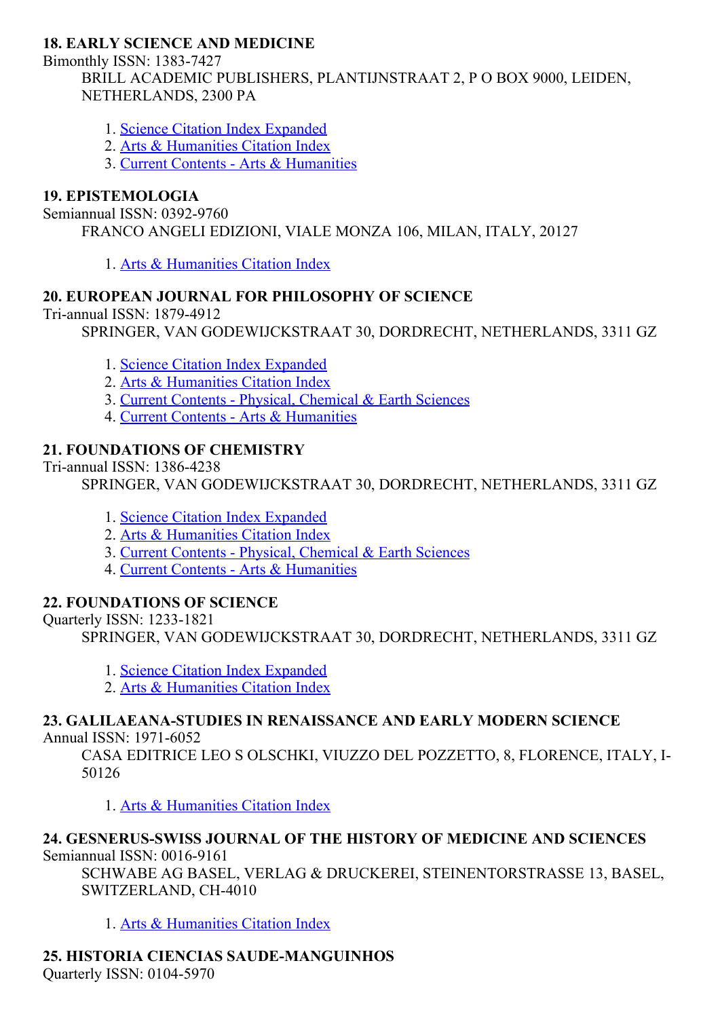## 18. EARLY SCIENCE AND MEDICINE

Bimonthly ISSN: 1383-7427

BRILL ACADEMIC PUBLISHERS, PLANTIJNSTRAAT 2, P O BOX 9000, LEIDEN, NETHERLANDS, 2300 PA

- 1. Science Citation Index [Expanded](http://thomsonreuters.com/science-citation-index-expanded)
- 2. Arts & [Humanities](http://thomsonreuters.com/arts-humanities-citation-index) Citation Index
- 3. Current Contents Arts & [Humanities](http://thomsonreuters.com/current-contents-connect)

## 19. EPISTEMOLOGIA

#### Semiannual ISSN: 0392-9760

FRANCO ANGELI EDIZIONI, VIALE MONZA 106, MILAN, ITALY, 20127

1. Arts & [Humanities](http://thomsonreuters.com/arts-humanities-citation-index) Citation Index

# 20. EUROPEAN JOURNAL FOR PHILOSOPHY OF SCIENCE

Tri-annual ISSN: 1879-4912

SPRINGER, VAN GODEWIJCKSTRAAT 30, DORDRECHT, NETHERLANDS, 3311 GZ

- 1. Science Citation Index [Expanded](http://thomsonreuters.com/science-citation-index-expanded)
- 2. Arts & [Humanities](http://thomsonreuters.com/arts-humanities-citation-index) Citation Index
- 3. Current Contents Physical, [Chemical](http://thomsonreuters.com/current-contents-connect) & Earth Sciences
- 4. Current Contents Arts & [Humanities](http://thomsonreuters.com/current-contents-connect)

### 21. FOUNDATIONS OF CHEMISTRY

Tri-annual ISSN: 1386-4238

SPRINGER, VAN GODEWIJCKSTRAAT 30, DORDRECHT, NETHERLANDS, 3311 GZ

- 1. Science Citation Index [Expanded](http://thomsonreuters.com/science-citation-index-expanded)
- 2. Arts & [Humanities](http://thomsonreuters.com/arts-humanities-citation-index) Citation Index
- 3. Current Contents Physical, [Chemical](http://thomsonreuters.com/current-contents-connect) & Earth Sciences
- 4. Current Contents Arts & [Humanities](http://thomsonreuters.com/current-contents-connect)

# 22. FOUNDATIONS OF SCIENCE

Quarterly ISSN: 12331821

SPRINGER, VAN GODEWIJCKSTRAAT 30, DORDRECHT, NETHERLANDS, 3311 GZ

- 1. Science Citation Index [Expanded](http://thomsonreuters.com/science-citation-index-expanded)
- 2. Arts & [Humanities](http://thomsonreuters.com/arts-humanities-citation-index) Citation Index

# 23. GALILAEANA-STUDIES IN RENAISSANCE AND EARLY MODERN SCIENCE

Annual ISSN: 1971-6052

CASA EDITRICE LEO S OLSCHKI, VIUZZO DEL POZZETTO, 8, FLORENCE, ITALY, I-50126

1. Arts & [Humanities](http://thomsonreuters.com/arts-humanities-citation-index) Citation Index

#### 24. GESNERUS-SWISS JOURNAL OF THE HISTORY OF MEDICINE AND SCIENCES Semiannual ISSN: 0016-9161

SCHWABE AG BASEL, VERLAG & DRUCKEREI, STEINENTORSTRASSE 13, BASEL, SWITZERLAND, CH-4010

1. Arts & [Humanities](http://thomsonreuters.com/arts-humanities-citation-index) Citation Index

# 25. HISTORIA CIENCIAS SAUDE-MANGUINHOS

Quarterly ISSN: 0104-5970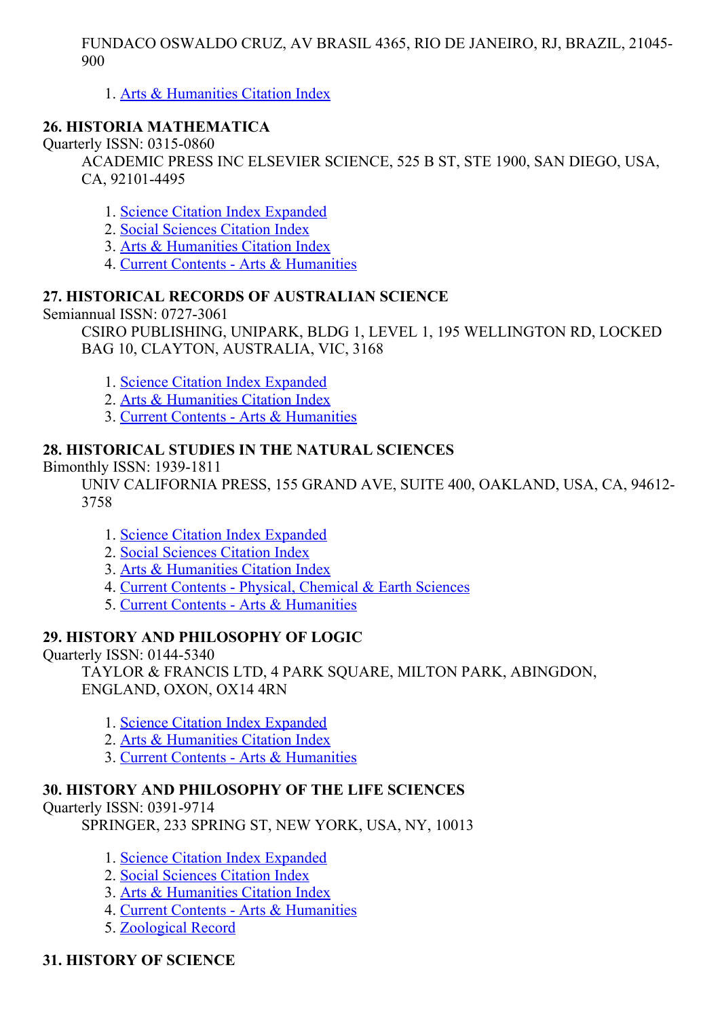FUNDACO OSWALDO CRUZ, AV BRASIL 4365, RIO DE JANEIRO, RJ, BRAZIL, 21045 900

1. Arts & [Humanities](http://thomsonreuters.com/arts-humanities-citation-index) Citation Index

### 26. HISTORIA MATHEMATICA

Quarterly ISSN: 0315-0860

ACADEMIC PRESS INC ELSEVIER SCIENCE, 525 B ST, STE 1900, SAN DIEGO, USA, CA, 92101-4495

- 1. Science Citation Index [Expanded](http://thomsonreuters.com/science-citation-index-expanded)
- 2. Social [Sciences](http://thomsonreuters.com/social-sciences-citation-index) Citation Index
- 3. Arts & [Humanities](http://thomsonreuters.com/arts-humanities-citation-index) Citation Index
- 4. Current Contents Arts & [Humanities](http://thomsonreuters.com/current-contents-connect)

## 27. HISTORICAL RECORDS OF AUSTRALIAN SCIENCE

Semiannual ISSN: 0727-3061

CSIRO PUBLISHING, UNIPARK, BLDG 1, LEVEL 1, 195 WELLINGTON RD, LOCKED BAG 10, CLAYTON, AUSTRALIA, VIC, 3168

- 1. Science Citation Index [Expanded](http://thomsonreuters.com/science-citation-index-expanded)
- 2. Arts & [Humanities](http://thomsonreuters.com/arts-humanities-citation-index) Citation Index
- 3. Current Contents Arts & [Humanities](http://thomsonreuters.com/current-contents-connect)

### 28. HISTORICAL STUDIES IN THE NATURAL SCIENCES

Bimonthly ISSN: 1939-1811

UNIV CALIFORNIA PRESS, 155 GRAND AVE, SUITE 400, OAKLAND, USA, CA, 94612 3758

- 1. Science Citation Index [Expanded](http://thomsonreuters.com/science-citation-index-expanded)
- 2. Social [Sciences](http://thomsonreuters.com/social-sciences-citation-index) Citation Index
- 3. Arts & [Humanities](http://thomsonreuters.com/arts-humanities-citation-index) Citation Index
- 4. Current Contents Physical, [Chemical](http://thomsonreuters.com/current-contents-connect) & Earth Sciences
- 5. Current Contents Arts & [Humanities](http://thomsonreuters.com/current-contents-connect)

### 29. HISTORY AND PHILOSOPHY OF LOGIC

Quarterly ISSN: 01445340

TAYLOR & FRANCIS LTD, 4 PARK SQUARE, MILTON PARK, ABINGDON, ENGLAND, OXON, OX14 4RN

- 1. Science Citation Index [Expanded](http://thomsonreuters.com/science-citation-index-expanded)
- 2. Arts & [Humanities](http://thomsonreuters.com/arts-humanities-citation-index) Citation Index
- 3. Current Contents Arts & [Humanities](http://thomsonreuters.com/current-contents-connect)

### 30. HISTORY AND PHILOSOPHY OF THE LIFE SCIENCES

### **Ouarterly ISSN: 0391-9714**

SPRINGER, 233 SPRING ST, NEW YORK, USA, NY, 10013

- 1. Science Citation Index [Expanded](http://thomsonreuters.com/science-citation-index-expanded)
- 2. Social [Sciences](http://thomsonreuters.com/social-sciences-citation-index) Citation Index
- 3. Arts & [Humanities](http://thomsonreuters.com/arts-humanities-citation-index) Citation Index
- 4. Current Contents Arts & [Humanities](http://thomsonreuters.com/current-contents-connect)
- 5. [Zoological](http://thomsonreuters.com/zoological-record) Record

### 31. HISTORY OF SCIENCE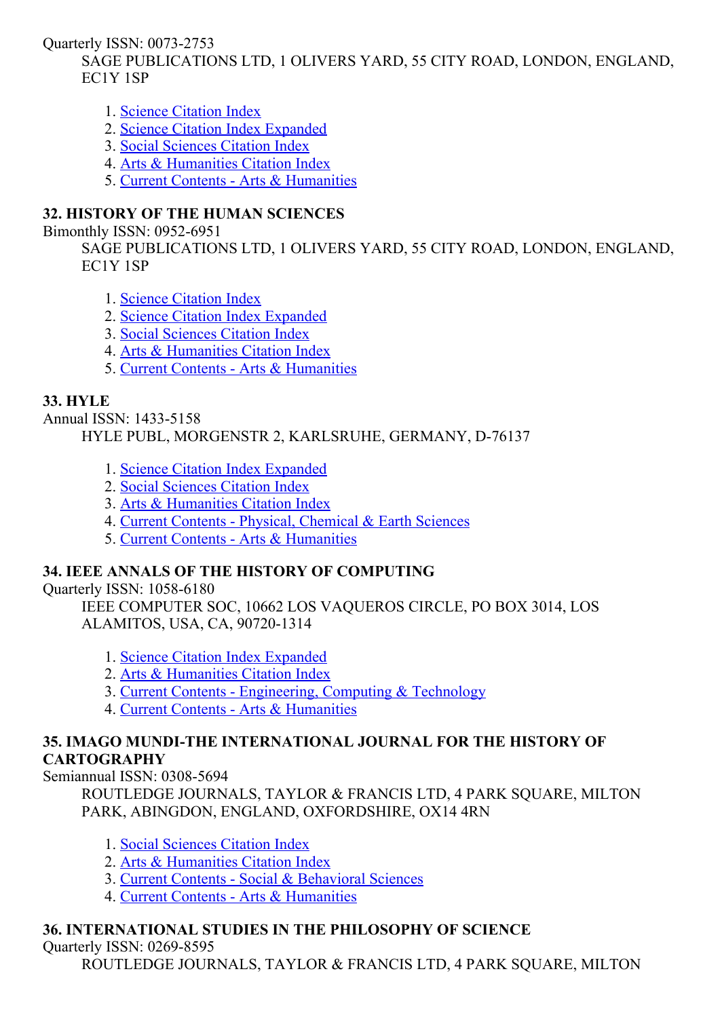Quarterly ISSN: 0073-2753

SAGE PUBLICATIONS LTD, 1 OLIVERS YARD, 55 CITY ROAD, LONDON, ENGLAND, EC1Y 1SP

- 1. Science [Citation](http://thomsonreuters.com/science-citation-index-expanded) Index
- 2. Science Citation Index [Expanded](http://thomsonreuters.com/science-citation-index-expanded)
- 3. Social [Sciences](http://thomsonreuters.com/social-sciences-citation-index) Citation Index
- 4. Arts & [Humanities](http://thomsonreuters.com/arts-humanities-citation-index) Citation Index
- 5. Current Contents Arts & [Humanities](http://thomsonreuters.com/current-contents-connect)

# 32. HISTORY OF THE HUMAN SCIENCES

Bimonthly ISSN: 0952-6951

SAGE PUBLICATIONS LTD, 1 OLIVERS YARD, 55 CITY ROAD, LONDON, ENGLAND, EC1Y 1SP

- 1. Science [Citation](http://thomsonreuters.com/science-citation-index-expanded) Index
- 2. Science Citation Index [Expanded](http://thomsonreuters.com/science-citation-index-expanded)
- 3. Social [Sciences](http://thomsonreuters.com/social-sciences-citation-index) Citation Index
- 4. Arts & [Humanities](http://thomsonreuters.com/arts-humanities-citation-index) Citation Index
- 5. Current Contents Arts & [Humanities](http://thomsonreuters.com/current-contents-connect)

# 33. HYLE

Annual ISSN: 1433-5158 HYLE PUBL, MORGENSTR 2, KARLSRUHE, GERMANY, D-76137

- 1. Science Citation Index [Expanded](http://thomsonreuters.com/science-citation-index-expanded)
- 2. Social [Sciences](http://thomsonreuters.com/social-sciences-citation-index) Citation Index
- 3. Arts & [Humanities](http://thomsonreuters.com/arts-humanities-citation-index) Citation Index
- 4. Current Contents Physical, [Chemical](http://thomsonreuters.com/current-contents-connect) & Earth Sciences
- 5. Current Contents Arts & [Humanities](http://thomsonreuters.com/current-contents-connect)

# 34. IEEE ANNALS OF THE HISTORY OF COMPUTING

Quarterly ISSN: 1058-6180

IEEE COMPUTER SOC, 10662 LOS VAQUEROS CIRCLE, PO BOX 3014, LOS ALAMITOS, USA, CA, 90720-1314

- 1. Science Citation Index [Expanded](http://thomsonreuters.com/science-citation-index-expanded)
- 2. Arts & [Humanities](http://thomsonreuters.com/arts-humanities-citation-index) Citation Index
- 3. Current Contents [Engineering,](http://thomsonreuters.com/current-contents-connect) Computing & Technology
- 4. Current Contents Arts & [Humanities](http://thomsonreuters.com/current-contents-connect)

## 35. IMAGO MUNDI-THE INTERNATIONAL JOURNAL FOR THE HISTORY OF **CARTOGRAPHY**

Semiannual ISSN: 0308-5694

ROUTLEDGE JOURNALS, TAYLOR & FRANCIS LTD, 4 PARK SQUARE, MILTON PARK, ABINGDON, ENGLAND, OXFORDSHIRE, OX14 4RN

- 1. Social [Sciences](http://thomsonreuters.com/social-sciences-citation-index) Citation Index
- 2. Arts & [Humanities](http://thomsonreuters.com/arts-humanities-citation-index) Citation Index
- 3. Current Contents Social & [Behavioral](http://thomsonreuters.com/current-contents-connect/) Sciences
- 4. Current Contents Arts & [Humanities](http://thomsonreuters.com/current-contents-connect)

# 36. INTERNATIONAL STUDIES IN THE PHILOSOPHY OF SCIENCE

Quarterly ISSN: 0269-8595

ROUTLEDGE JOURNALS, TAYLOR & FRANCIS LTD, 4 PARK SOUARE, MILTON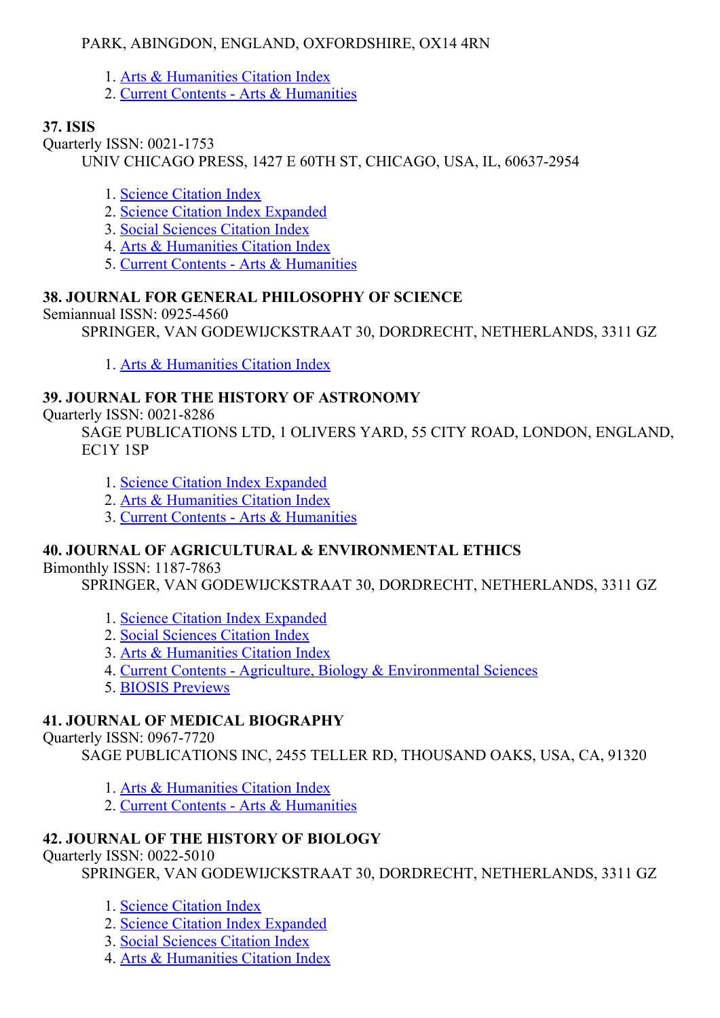## PARK, ABINGDON, ENGLAND, OXFORDSHIRE, OX14 4RN

- 1. Arts & [Humanities](http://thomsonreuters.com/arts-humanities-citation-index) Citation Index
- 2. Current Contents Arts & [Humanities](http://thomsonreuters.com/current-contents-connect)

# 37. ISIS

Quarterly ISSN: 0021-1753

UNIV CHICAGO PRESS, 1427 E 60TH ST, CHICAGO, USA, IL, 60637-2954

- 1. Science [Citation](http://thomsonreuters.com/science-citation-index-expanded) Index
- 2. Science Citation Index [Expanded](http://thomsonreuters.com/science-citation-index-expanded)
- 3. Social [Sciences](http://thomsonreuters.com/social-sciences-citation-index) Citation Index
- 4. Arts & [Humanities](http://thomsonreuters.com/arts-humanities-citation-index) Citation Index
- 5. Current Contents Arts & [Humanities](http://thomsonreuters.com/current-contents-connect)

# 38. JOURNAL FOR GENERAL PHILOSOPHY OF SCIENCE

Semiannual ISSN: 0925-4560

SPRINGER, VAN GODEWIJCKSTRAAT 30, DORDRECHT, NETHERLANDS, 3311 GZ

1. Arts & [Humanities](http://thomsonreuters.com/arts-humanities-citation-index) Citation Index

# 39. JOURNAL FOR THE HISTORY OF ASTRONOMY

Quarterly ISSN: 0021-8286

SAGE PUBLICATIONS LTD, 1 OLIVERS YARD, 55 CITY ROAD, LONDON, ENGLAND, EC1Y 1SP

- 1. Science Citation Index [Expanded](http://thomsonreuters.com/science-citation-index-expanded)
- 2. Arts & [Humanities](http://thomsonreuters.com/arts-humanities-citation-index) Citation Index
- 3. Current Contents Arts & [Humanities](http://thomsonreuters.com/current-contents-connect)

# 40. JOURNAL OF AGRICULTURAL & ENVIRONMENTAL ETHICS

### Bimonthly ISSN: 1187-7863

SPRINGER, VAN GODEWIJCKSTRAAT 30, DORDRECHT, NETHERLANDS, 3311 GZ

- 1. Science Citation Index [Expanded](http://thomsonreuters.com/science-citation-index-expanded)
- 2. Social [Sciences](http://thomsonreuters.com/social-sciences-citation-index) Citation Index
- 3. Arts & [Humanities](http://thomsonreuters.com/arts-humanities-citation-index) Citation Index
- 4. Current Contents Agriculture, Biology & [Environmental](http://thomsonreuters.com/current-contents-connect/) Sciences
- 5. BIOSIS [Previews](http://thomsonreuters.com/biosis-previews)

# 41. JOURNAL OF MEDICAL BIOGRAPHY

Ouarterly ISSN: 0967-7720

SAGE PUBLICATIONS INC, 2455 TELLER RD, THOUSAND OAKS, USA, CA, 91320

- 1. Arts & [Humanities](http://thomsonreuters.com/arts-humanities-citation-index) Citation Index
- 2. Current Contents Arts & [Humanities](http://thomsonreuters.com/current-contents-connect)

# 42. JOURNAL OF THE HISTORY OF BIOLOGY

Quarterly ISSN: 0022-5010

SPRINGER, VAN GODEWIJCKSTRAAT 30, DORDRECHT, NETHERLANDS, 3311 GZ

- 1. Science [Citation](http://thomsonreuters.com/science-citation-index-expanded) Index
- 2. Science Citation Index [Expanded](http://thomsonreuters.com/science-citation-index-expanded)
- 3. Social [Sciences](http://thomsonreuters.com/social-sciences-citation-index) Citation Index
- 4. Arts & [Humanities](http://thomsonreuters.com/arts-humanities-citation-index) Citation Index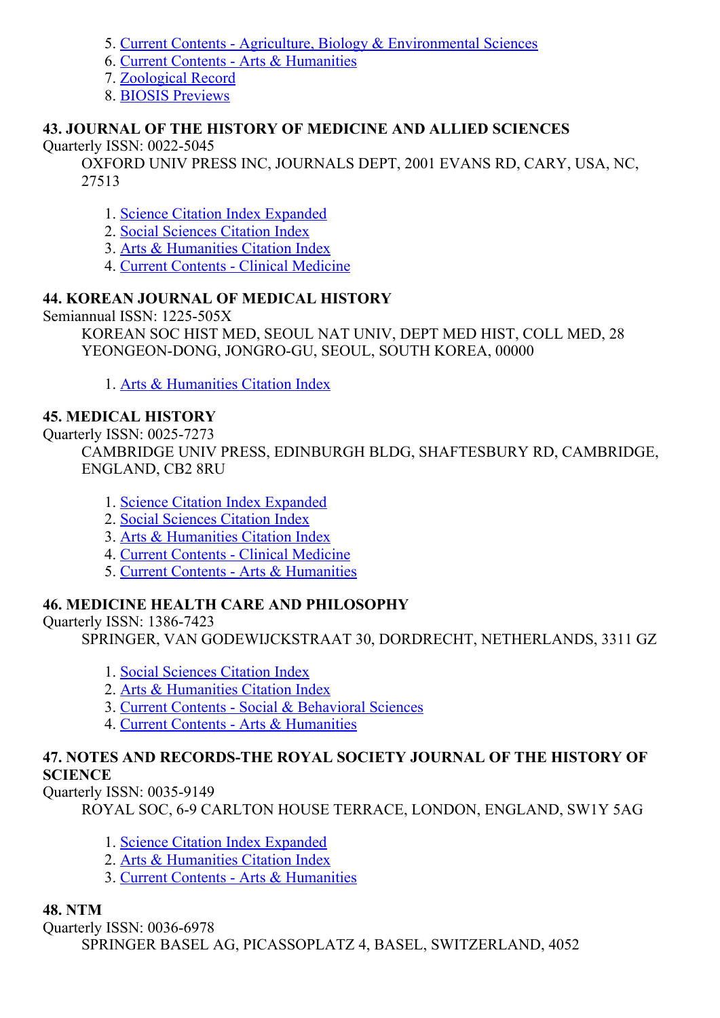- 5. Current Contents Agriculture, Biology & [Environmental](http://thomsonreuters.com/current-contents-connect/) Sciences
- 6. Current Contents Arts & [Humanities](http://thomsonreuters.com/current-contents-connect)
- 7. [Zoological](http://thomsonreuters.com/zoological-record) Record
- 8. BIOSIS [Previews](http://thomsonreuters.com/biosis-previews)

### 43. JOURNAL OF THE HISTORY OF MEDICINE AND ALLIED SCIENCES

### Ouarterly ISSN: 0022-5045

OXFORD UNIV PRESS INC, JOURNALS DEPT, 2001 EVANS RD, CARY, USA, NC, 27513

- 1. Science Citation Index [Expanded](http://thomsonreuters.com/science-citation-index-expanded)
- 2. Social [Sciences](http://thomsonreuters.com/social-sciences-citation-index) Citation Index
- 3. Arts & [Humanities](http://thomsonreuters.com/arts-humanities-citation-index) Citation Index
- 4. Current Contents Clinical [Medicine](http://thomsonreuters.com/current-contents-connect)

# 44. KOREAN JOURNAL OF MEDICAL HISTORY

Semiannual ISSN: 1225-505X

KOREAN SOC HIST MED, SEOUL NAT UNIV, DEPT MED HIST, COLL MED, 28 YEONGEON-DONG, JONGRO-GU, SEOUL, SOUTH KOREA, 00000

1. Arts & [Humanities](http://thomsonreuters.com/arts-humanities-citation-index) Citation Index

## 45. MEDICAL HISTORY

Quarterly ISSN: 0025-7273

CAMBRIDGE UNIV PRESS, EDINBURGH BLDG, SHAFTESBURY RD, CAMBRIDGE, ENGLAND, CB2 8RU

- 1. Science Citation Index [Expanded](http://thomsonreuters.com/science-citation-index-expanded)
- 2. Social [Sciences](http://thomsonreuters.com/social-sciences-citation-index) Citation Index
- 3. Arts & [Humanities](http://thomsonreuters.com/arts-humanities-citation-index) Citation Index
- 4. Current Contents Clinical [Medicine](http://thomsonreuters.com/current-contents-connect)
- 5. Current Contents Arts & [Humanities](http://thomsonreuters.com/current-contents-connect)

# 46. MEDICINE HEALTH CARE AND PHILOSOPHY

Quarterly ISSN: 1386-7423

SPRINGER, VAN GODEWIJCKSTRAAT 30, DORDRECHT, NETHERLANDS, 3311 GZ

- 1. Social [Sciences](http://thomsonreuters.com/social-sciences-citation-index) Citation Index
- 2. Arts & [Humanities](http://thomsonreuters.com/arts-humanities-citation-index) Citation Index
- 3. Current Contents Social & [Behavioral](http://thomsonreuters.com/current-contents-connect/) Sciences
- 4. Current Contents Arts & [Humanities](http://thomsonreuters.com/current-contents-connect)

#### 47. NOTES AND RECORDSTHE ROYAL SOCIETY JOURNAL OF THE HISTORY OF **SCIENCE**

Quarterly ISSN: 0035-9149

ROYAL SOC, 69 CARLTON HOUSE TERRACE, LONDON, ENGLAND, SW1Y 5AG

- 1. Science Citation Index [Expanded](http://thomsonreuters.com/science-citation-index-expanded)
- 2. Arts & [Humanities](http://thomsonreuters.com/arts-humanities-citation-index) Citation Index
- 3. Current Contents Arts & [Humanities](http://thomsonreuters.com/current-contents-connect)

### 48. NTM

Quarterly ISSN: 0036-6978 SPRINGER BASEL AG, PICASSOPLATZ 4, BASEL, SWITZERLAND, 4052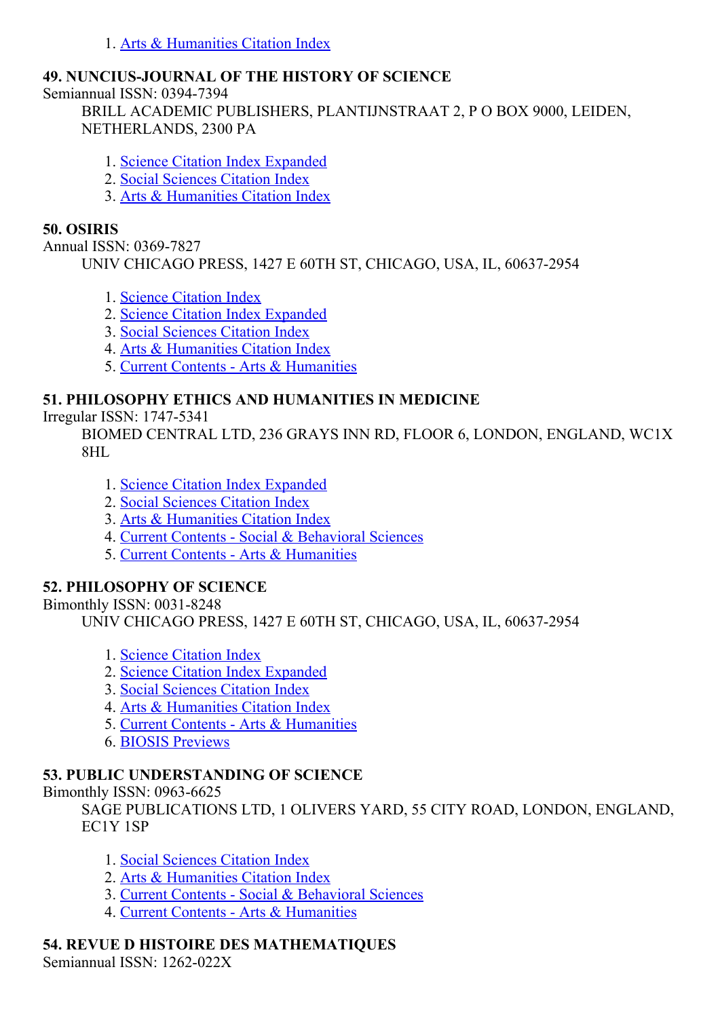1. Arts & [Humanities](http://thomsonreuters.com/arts-humanities-citation-index) Citation Index

## 49. NUNCIUS-JOURNAL OF THE HISTORY OF SCIENCE

Semiannual ISSN: 0394-7394

BRILL ACADEMIC PUBLISHERS, PLANTIJNSTRAAT 2, P O BOX 9000, LEIDEN, NETHERLANDS, 2300 PA

- 1. Science Citation Index [Expanded](http://thomsonreuters.com/science-citation-index-expanded)
- 2. Social [Sciences](http://thomsonreuters.com/social-sciences-citation-index) Citation Index
- 3. Arts & [Humanities](http://thomsonreuters.com/arts-humanities-citation-index) Citation Index

### 50. OSIRIS

Annual ISSN: 0369-7827

UNIV CHICAGO PRESS, 1427 E 60TH ST, CHICAGO, USA, IL, 60637-2954

- 1. Science [Citation](http://thomsonreuters.com/science-citation-index-expanded) Index
- 2. Science Citation Index [Expanded](http://thomsonreuters.com/science-citation-index-expanded)
- 3. Social [Sciences](http://thomsonreuters.com/social-sciences-citation-index) Citation Index
- 4. Arts & [Humanities](http://thomsonreuters.com/arts-humanities-citation-index) Citation Index
- 5. Current Contents Arts & [Humanities](http://thomsonreuters.com/current-contents-connect)

# 51. PHILOSOPHY ETHICS AND HUMANITIES IN MEDICINE

Irregular ISSN: 17475341

BIOMED CENTRAL LTD, 236 GRAYS INN RD, FLOOR 6, LONDON, ENGLAND, WC1X 8HL

- 1. Science Citation Index [Expanded](http://thomsonreuters.com/science-citation-index-expanded)
- 2. Social [Sciences](http://thomsonreuters.com/social-sciences-citation-index) Citation Index
- 3. Arts & [Humanities](http://thomsonreuters.com/arts-humanities-citation-index) Citation Index
- 4. Current Contents Social & [Behavioral](http://thomsonreuters.com/current-contents-connect/) Sciences
- 5. Current Contents Arts & [Humanities](http://thomsonreuters.com/current-contents-connect)

### 52. PHILOSOPHY OF SCIENCE

Bimonthly ISSN:  $0031-8248$ 

UNIV CHICAGO PRESS, 1427 E 60TH ST, CHICAGO, USA, IL, 60637-2954

- 1. Science [Citation](http://thomsonreuters.com/science-citation-index-expanded) Index
- 2. Science Citation Index [Expanded](http://thomsonreuters.com/science-citation-index-expanded)
- 3. Social [Sciences](http://thomsonreuters.com/social-sciences-citation-index) Citation Index
- 4. Arts & [Humanities](http://thomsonreuters.com/arts-humanities-citation-index) Citation Index
- 5. Current Contents Arts & [Humanities](http://thomsonreuters.com/current-contents-connect)
- 6. BIOSIS [Previews](http://thomsonreuters.com/biosis-previews)

### 53. PUBLIC UNDERSTANDING OF SCIENCE

Bimonthly ISSN:  $0963-6625$ 

SAGE PUBLICATIONS LTD, 1 OLIVERS YARD, 55 CITY ROAD, LONDON, ENGLAND, EC1Y 1SP

- 1. Social [Sciences](http://thomsonreuters.com/social-sciences-citation-index) Citation Index
- 2. Arts & [Humanities](http://thomsonreuters.com/arts-humanities-citation-index) Citation Index
- 3. Current Contents Social & [Behavioral](http://thomsonreuters.com/current-contents-connect/) Sciences
- 4. Current Contents Arts & [Humanities](http://thomsonreuters.com/current-contents-connect)

# 54. REVUE D HISTOIRE DES MATHEMATIQUES

Semiannual ISSN: 1262-022X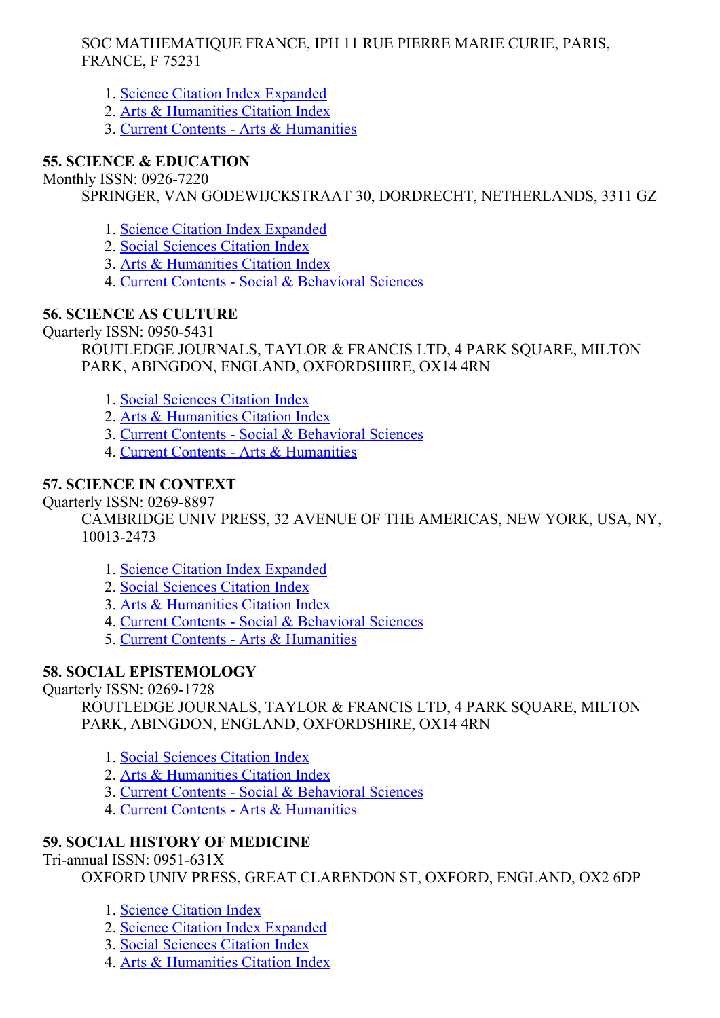### SOC MATHEMATIQUE FRANCE, IPH 11 RUE PIERRE MARIE CURIE, PARIS, FRANCE, F 75231

- 1. Science Citation Index [Expanded](http://thomsonreuters.com/science-citation-index-expanded)
- 2. Arts & [Humanities](http://thomsonreuters.com/arts-humanities-citation-index) Citation Index
- 3. Current Contents Arts & [Humanities](http://thomsonreuters.com/current-contents-connect)

# 55. SCIENCE & EDUCATION

Monthly ISSN: 0926-7220

SPRINGER, VAN GODEWIJCKSTRAAT 30, DORDRECHT, NETHERLANDS, 3311 GZ

- 1. Science Citation Index [Expanded](http://thomsonreuters.com/science-citation-index-expanded)
- 2. Social [Sciences](http://thomsonreuters.com/social-sciences-citation-index) Citation Index
- 3. Arts & [Humanities](http://thomsonreuters.com/arts-humanities-citation-index) Citation Index
- 4. Current Contents Social & [Behavioral](http://thomsonreuters.com/current-contents-connect/) Sciences

# 56. SCIENCE AS CULTURE

Ouarterly ISSN: 0950-5431

ROUTLEDGE JOURNALS, TAYLOR & FRANCIS LTD, 4 PARK SQUARE, MILTON PARK, ABINGDON, ENGLAND, OXFORDSHIRE, OX14 4RN

- 1. Social [Sciences](http://thomsonreuters.com/social-sciences-citation-index) Citation Index
- 2. Arts & [Humanities](http://thomsonreuters.com/arts-humanities-citation-index) Citation Index
- 3. Current Contents Social & [Behavioral](http://thomsonreuters.com/current-contents-connect/) Sciences
- 4. Current Contents Arts & [Humanities](http://thomsonreuters.com/current-contents-connect)

# 57. SCIENCE IN CONTEXT

Quarterly ISSN: 0269-8897

CAMBRIDGE UNIV PRESS, 32 AVENUE OF THE AMERICAS, NEW YORK, USA, NY, 100132473

- 1. Science Citation Index [Expanded](http://thomsonreuters.com/science-citation-index-expanded)
- 2. Social [Sciences](http://thomsonreuters.com/social-sciences-citation-index) Citation Index
- 3. Arts & [Humanities](http://thomsonreuters.com/arts-humanities-citation-index) Citation Index
- 4. Current Contents Social & [Behavioral](http://thomsonreuters.com/current-contents-connect/) Sciences
- 5. Current Contents Arts & [Humanities](http://thomsonreuters.com/current-contents-connect)

# 58. SOCIAL EPISTEMOLOGY

Quarterly ISSN: 0269-1728

ROUTLEDGE JOURNALS, TAYLOR & FRANCIS LTD, 4 PARK SOUARE, MILTON PARK, ABINGDON, ENGLAND, OXFORDSHIRE, OX14 4RN

- 1. Social [Sciences](http://thomsonreuters.com/social-sciences-citation-index) Citation Index
- 2. Arts & [Humanities](http://thomsonreuters.com/arts-humanities-citation-index) Citation Index
- 3. Current Contents Social & [Behavioral](http://thomsonreuters.com/current-contents-connect/) Sciences
- 4. Current Contents Arts & [Humanities](http://thomsonreuters.com/current-contents-connect)

# 59. SOCIAL HISTORY OF MEDICINE

 $Tri-annual ISSN: 0951-631X$ 

OXFORD UNIV PRESS, GREAT CLARENDON ST, OXFORD, ENGLAND, OX2 6DP

- 1. Science [Citation](http://thomsonreuters.com/science-citation-index-expanded) Index
- 2. Science Citation Index [Expanded](http://thomsonreuters.com/science-citation-index-expanded)
- 3. Social [Sciences](http://thomsonreuters.com/social-sciences-citation-index) Citation Index
- 4. Arts & [Humanities](http://thomsonreuters.com/arts-humanities-citation-index) Citation Index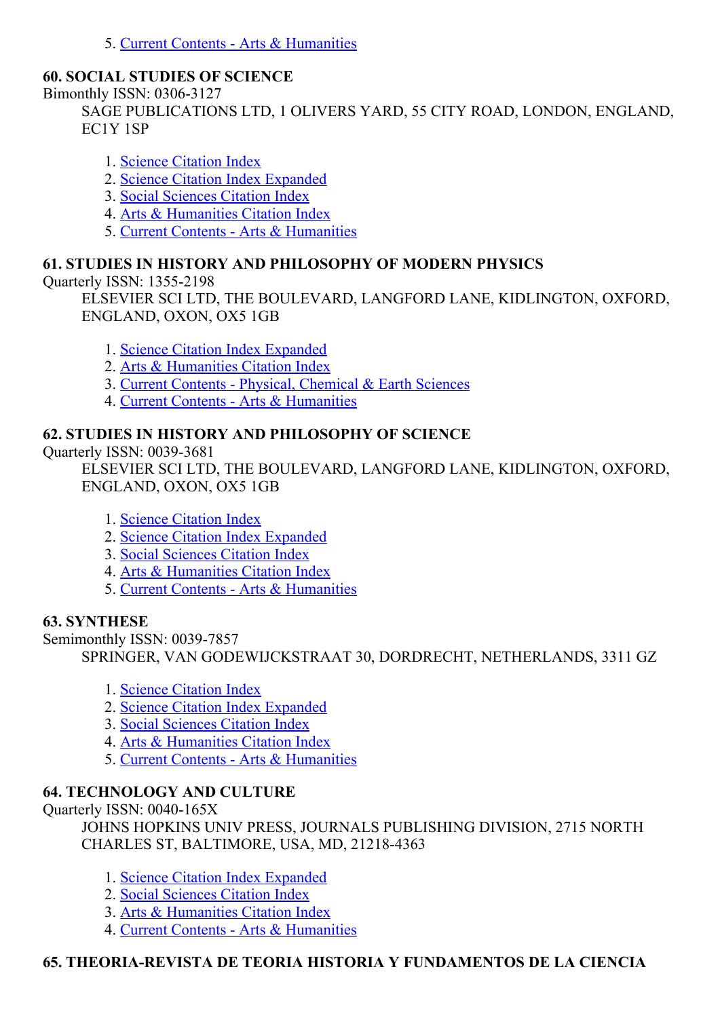5. Current Contents - Arts & [Humanities](http://thomsonreuters.com/current-contents-connect)

### 60. SOCIAL STUDIES OF SCIENCE

Bimonthly ISSN: 0306-3127

SAGE PUBLICATIONS LTD, 1 OLIVERS YARD, 55 CITY ROAD, LONDON, ENGLAND, EC1Y 1SP

- 1. Science [Citation](http://thomsonreuters.com/science-citation-index-expanded) Index
- 2. Science Citation Index [Expanded](http://thomsonreuters.com/science-citation-index-expanded)
- 3. Social [Sciences](http://thomsonreuters.com/social-sciences-citation-index) Citation Index
- 4. Arts & [Humanities](http://thomsonreuters.com/arts-humanities-citation-index) Citation Index
- 5. Current Contents Arts & [Humanities](http://thomsonreuters.com/current-contents-connect)

## 61. STUDIES IN HISTORY AND PHILOSOPHY OF MODERN PHYSICS

Quarterly ISSN: 13552198

ELSEVIER SCI LTD, THE BOULEVARD, LANGFORD LANE, KIDLINGTON, OXFORD, ENGLAND, OXON, OX5 1GB

- 1. Science Citation Index [Expanded](http://thomsonreuters.com/science-citation-index-expanded)
- 2. Arts & [Humanities](http://thomsonreuters.com/arts-humanities-citation-index) Citation Index
- 3. Current Contents Physical, [Chemical](http://thomsonreuters.com/current-contents-connect) & Earth Sciences
- 4. Current Contents Arts & [Humanities](http://thomsonreuters.com/current-contents-connect)

## 62. STUDIES IN HISTORY AND PHILOSOPHY OF SCIENCE

Ouarterly ISSN: 0039-3681

ELSEVIER SCI LTD, THE BOULEVARD, LANGFORD LANE, KIDLINGTON, OXFORD, ENGLAND, OXON, OX5 1GB

- 1. Science [Citation](http://thomsonreuters.com/science-citation-index-expanded) Index
- 2. Science Citation Index [Expanded](http://thomsonreuters.com/science-citation-index-expanded)
- 3. Social [Sciences](http://thomsonreuters.com/social-sciences-citation-index) Citation Index
- 4. Arts & [Humanities](http://thomsonreuters.com/arts-humanities-citation-index) Citation Index
- 5. Current Contents Arts & [Humanities](http://thomsonreuters.com/current-contents-connect)

# 63. SYNTHESE

Semimonthly ISSN: 0039-7857

SPRINGER, VAN GODEWIJCKSTRAAT 30, DORDRECHT, NETHERLANDS, 3311 GZ

- 1. Science [Citation](http://thomsonreuters.com/science-citation-index-expanded) Index
- 2. Science Citation Index [Expanded](http://thomsonreuters.com/science-citation-index-expanded)
- 3. Social [Sciences](http://thomsonreuters.com/social-sciences-citation-index) Citation Index
- 4. Arts & [Humanities](http://thomsonreuters.com/arts-humanities-citation-index) Citation Index
- 5. Current Contents Arts & [Humanities](http://thomsonreuters.com/current-contents-connect)

# 64. TECHNOLOGY AND CULTURE

Ouarterly ISSN:  $0040-165X$ 

JOHNS HOPKINS UNIV PRESS, JOURNALS PUBLISHING DIVISION, 2715 NORTH CHARLES ST, BALTIMORE, USA, MD, 21218-4363

- 1. Science Citation Index [Expanded](http://thomsonreuters.com/science-citation-index-expanded)
- 2. Social [Sciences](http://thomsonreuters.com/social-sciences-citation-index) Citation Index
- 3. Arts & [Humanities](http://thomsonreuters.com/arts-humanities-citation-index) Citation Index
- 4. Current Contents Arts & [Humanities](http://thomsonreuters.com/current-contents-connect)

# 65. THEORIAREVISTA DE TEORIA HISTORIA Y FUNDAMENTOS DE LA CIENCIA